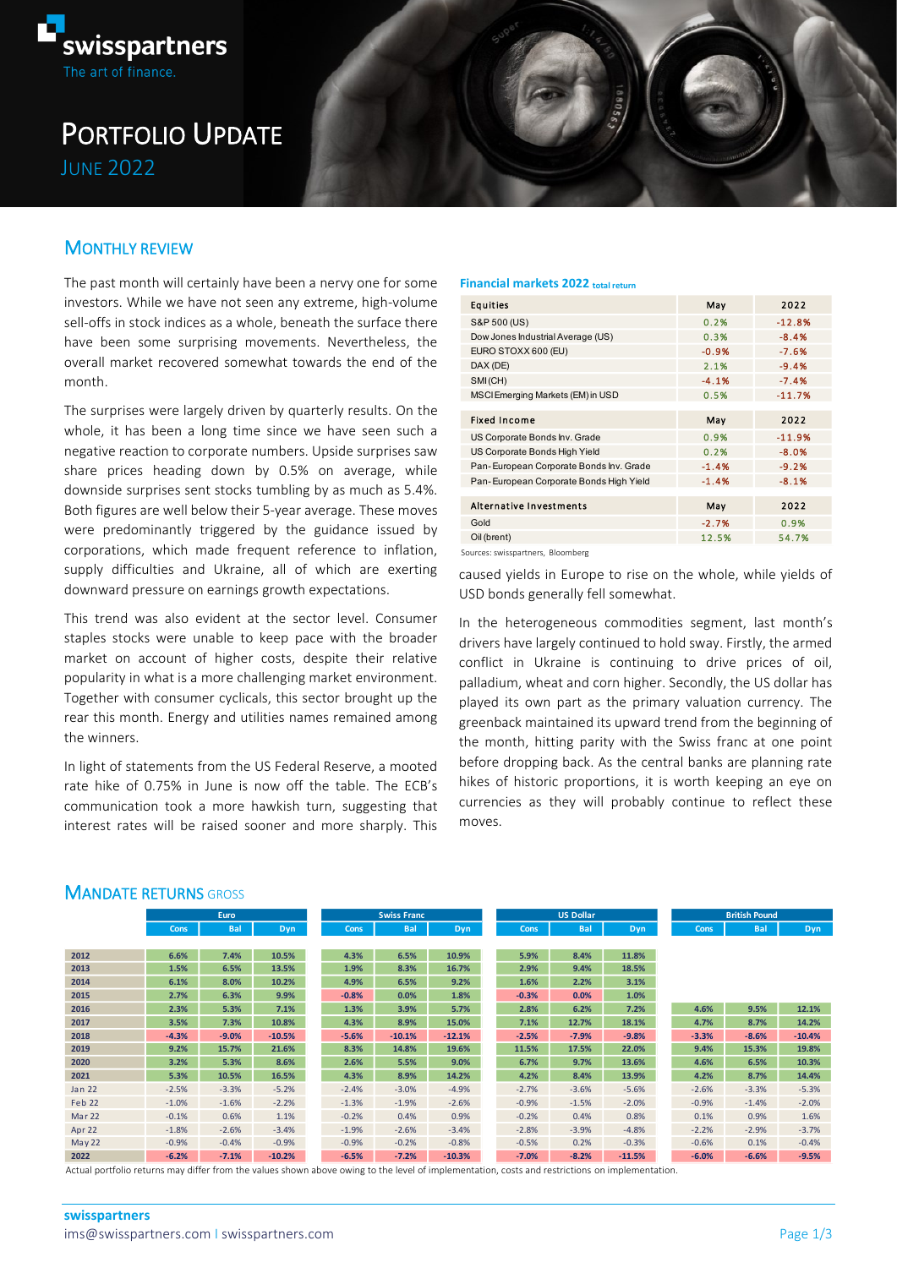

# PORTFOLIO UPDATE JUNE 2022

## MONTHLY REVIEW

The past month will certainly have been a nervy one for some investors. While we have not seen any extreme, high-volume sell-offs in stock indices as a whole, beneath the surface there have been some surprising movements. Nevertheless, the overall market recovered somewhat towards the end of the month.

The surprises were largely driven by quarterly results. On the whole, it has been a long time since we have seen such a negative reaction to corporate numbers. Upside surprises saw share prices heading down by 0.5% on average, while downside surprises sent stocks tumbling by as much as 5.4%. Both figures are well below their 5-year average. These moves were predominantly triggered by the guidance issued by corporations, which made frequent reference to inflation, supply difficulties and Ukraine, all of which are exerting downward pressure on earnings growth expectations.

This trend was also evident at the sector level. Consumer staples stocks were unable to keep pace with the broader market on account of higher costs, despite their relative popularity in what is a more challenging market environment. Together with consumer cyclicals, this sector brought up the rear this month. Energy and utilities names remained among the winners.

In light of statements from the US Federal Reserve, a mooted rate hike of 0.75% in June is now off the table. The ECB's communication took a more hawkish turn, suggesting that interest rates will be raised sooner and more sharply. This

#### **Financial markets 2022 total return**

| Equities                                | May     | 2022     |  |  |
|-----------------------------------------|---------|----------|--|--|
| S&P 500 (US)                            | 0.2%    | $-12.8%$ |  |  |
| Dow Jones Industrial Average (US)       | 0.3%    | $-8.4%$  |  |  |
| EURO STOXX 600 (EU)                     | $-0.9%$ | $-7.6%$  |  |  |
| DAX (DE)                                | 2.1%    | $-9.4%$  |  |  |
| SMI(CH)                                 | $-4.1%$ | $-7.4%$  |  |  |
| MSCI Emerging Markets (EM) in USD       | 0.5%    | $-11.7%$ |  |  |
|                                         |         |          |  |  |
| <b>Fixed Income</b>                     | May     | 2022     |  |  |
| US Corporate Bonds Inv. Grade           | 0.9%    | $-11.9%$ |  |  |
| US Corporate Bonds High Yield           | 0.2%    | $-8.0%$  |  |  |
| Pan-European Corporate Bonds Inv. Grade | $-1.4%$ | $-9.2%$  |  |  |
| Pan-European Corporate Bonds High Yield | $-1.4%$ | $-8.1%$  |  |  |
|                                         |         |          |  |  |
| Alternative Investments                 | May     | 2022     |  |  |
| Gold                                    | $-2.7%$ | 0.9%     |  |  |
| Oil (brent)                             | 12.5%   | 54.7%    |  |  |
|                                         |         |          |  |  |

Sources: swisspartners, Bloomberg

caused yields in Europe to rise on the whole, while yields of USD bonds generally fell somewhat.

In the heterogeneous commodities segment, last month's drivers have largely continued to hold sway. Firstly, the armed conflict in Ukraine is continuing to drive prices of oil, palladium, wheat and corn higher. Secondly, the US dollar has played its own part as the primary valuation currency. The greenback maintained its upward trend from the beginning of the month, hitting parity with the Swiss franc at one point before dropping back. As the central banks are planning rate hikes of historic proportions, it is worth keeping an eye on currencies as they will probably continue to reflect these moves.

#### **MANDATE RETURNS GROSS**

|               |         | Euro       |            | <b>Swiss Franc</b> |            |            | <b>US Dollar</b> |            |            | <b>British Pound</b> |            |          |
|---------------|---------|------------|------------|--------------------|------------|------------|------------------|------------|------------|----------------------|------------|----------|
|               | Cons    | <b>Bal</b> | <b>Dyn</b> | Cons               | <b>Bal</b> | <b>Dyn</b> | Cons             | <b>Bal</b> | <b>Dyn</b> | Cons                 | <b>Bal</b> | Dyn      |
|               |         |            |            |                    |            |            |                  |            |            |                      |            |          |
| 2012          | 6.6%    | 7.4%       | 10.5%      | 4.3%               | 6.5%       | 10.9%      | 5.9%             | 8.4%       | 11.8%      |                      |            |          |
| 2013          | 1.5%    | 6.5%       | 13.5%      | 1.9%               | 8.3%       | 16.7%      | 2.9%             | 9.4%       | 18.5%      |                      |            |          |
| 2014          | 6.1%    | 8.0%       | 10.2%      | 4.9%               | 6.5%       | 9.2%       | 1.6%             | 2.2%       | 3.1%       |                      |            |          |
| 2015          | 2.7%    | 6.3%       | 9.9%       | $-0.8%$            | 0.0%       | 1.8%       | $-0.3%$          | 0.0%       | 1.0%       |                      |            |          |
| 2016          | 2.3%    | 5.3%       | 7.1%       | 1.3%               | 3.9%       | 5.7%       | 2.8%             | 6.2%       | 7.2%       | 4.6%                 | 9.5%       | 12.1%    |
| 2017          | 3.5%    | 7.3%       | 10.8%      | 4.3%               | 8.9%       | 15.0%      | 7.1%             | 12.7%      | 18.1%      | 4.7%                 | 8.7%       | 14.2%    |
| 2018          | $-4.3%$ | $-9.0%$    | $-10.5%$   | $-5.6%$            | $-10.1%$   | $-12.1%$   | $-2.5%$          | $-7.9%$    | $-9.8%$    | $-3.3%$              | $-8.6%$    | $-10.4%$ |
| 2019          | 9.2%    | 15.7%      | 21.6%      | 8.3%               | 14.8%      | 19.6%      | 11.5%            | 17.5%      | 22.0%      | 9.4%                 | 15.3%      | 19.8%    |
| 2020          | 3.2%    | 5.3%       | 8.6%       | 2.6%               | 5.5%       | 9.0%       | 6.7%             | 9.7%       | 13.6%      | 4.6%                 | 6.5%       | 10.3%    |
| 2021          | 5.3%    | 10.5%      | 16.5%      | 4.3%               | 8.9%       | 14.2%      | 4.2%             | 8.4%       | 13.9%      | 4.2%                 | 8.7%       | 14.4%    |
| Jan 22        | $-2.5%$ | $-3.3%$    | $-5.2%$    | $-2.4%$            | $-3.0%$    | $-4.9%$    | $-2.7%$          | $-3.6%$    | $-5.6%$    | $-2.6%$              | $-3.3%$    | $-5.3%$  |
| <b>Feb 22</b> | $-1.0%$ | $-1.6%$    | $-2.2%$    | $-1.3%$            | $-1.9%$    | $-2.6%$    | $-0.9%$          | $-1.5%$    | $-2.0%$    | $-0.9%$              | $-1.4%$    | $-2.0%$  |
| Mar 22        | $-0.1%$ | 0.6%       | 1.1%       | $-0.2%$            | 0.4%       | 0.9%       | $-0.2%$          | 0.4%       | 0.8%       | 0.1%                 | 0.9%       | 1.6%     |
| Apr 22        | $-1.8%$ | $-2.6%$    | $-3.4%$    | $-1.9%$            | $-2.6%$    | $-3.4%$    | $-2.8%$          | $-3.9%$    | $-4.8%$    | $-2.2%$              | $-2.9%$    | $-3.7%$  |
| <b>May 22</b> | $-0.9%$ | $-0.4%$    | $-0.9%$    | $-0.9%$            | $-0.2%$    | $-0.8%$    | $-0.5%$          | 0.2%       | $-0.3%$    | $-0.6%$              | 0.1%       | $-0.4%$  |
| 2022          | $-6.2%$ | $-7.1%$    | $-10.2%$   | $-6.5%$            | $-7.2%$    | $-10.3%$   | $-7.0%$          | $-8.2%$    | $-11.5%$   | $-6.0%$              | $-6.6%$    | $-9.5%$  |

Actual portfolio returns may differ from the values shown above owing to the level of implementation, costs and restrictions on implementation.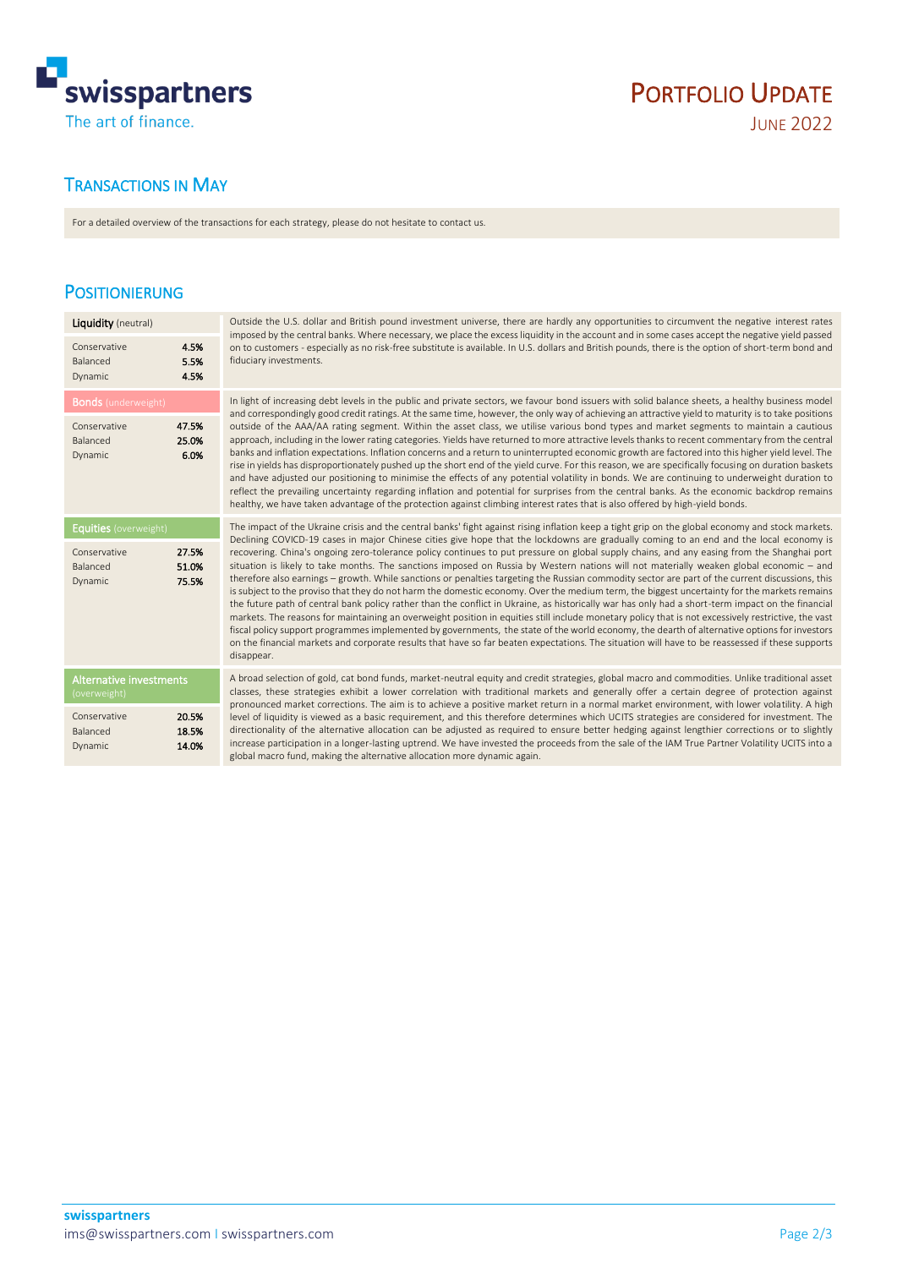

# PORTFOLIO UPDATE

# TRANSACTIONS IN MAY

For a detailed overview of the transactions for each strategy, please do not hesitate to contact us.

## POSITIONIERUNG

| <b>Liquidity</b> (neutral)                                          |                         | Outside the U.S. dollar and British pound investment universe, there are hardly any opportunities to circumvent the negative interest rates                                                                                                                                                                                                                                                                                                                                                                                                                                                                                                                                                                                                                                                                                                                                                                                                                                                                                                                                                                                                                                                                                                                                                                                                                                                                                                                                                                         |  |  |  |  |  |
|---------------------------------------------------------------------|-------------------------|---------------------------------------------------------------------------------------------------------------------------------------------------------------------------------------------------------------------------------------------------------------------------------------------------------------------------------------------------------------------------------------------------------------------------------------------------------------------------------------------------------------------------------------------------------------------------------------------------------------------------------------------------------------------------------------------------------------------------------------------------------------------------------------------------------------------------------------------------------------------------------------------------------------------------------------------------------------------------------------------------------------------------------------------------------------------------------------------------------------------------------------------------------------------------------------------------------------------------------------------------------------------------------------------------------------------------------------------------------------------------------------------------------------------------------------------------------------------------------------------------------------------|--|--|--|--|--|
| Conservative<br>Balanced<br><b>Dynamic</b>                          | 4.5%<br>5.5%<br>4.5%    | imposed by the central banks. Where necessary, we place the excess liquidity in the account and in some cases accept the negative yield passed<br>on to customers - especially as no risk-free substitute is available. In U.S. dollars and British pounds, there is the option of short-term bond and<br>fiduciary investments.                                                                                                                                                                                                                                                                                                                                                                                                                                                                                                                                                                                                                                                                                                                                                                                                                                                                                                                                                                                                                                                                                                                                                                                    |  |  |  |  |  |
| <b>Bonds</b> (underweight)                                          |                         | In light of increasing debt levels in the public and private sectors, we favour bond issuers with solid balance sheets, a healthy business model                                                                                                                                                                                                                                                                                                                                                                                                                                                                                                                                                                                                                                                                                                                                                                                                                                                                                                                                                                                                                                                                                                                                                                                                                                                                                                                                                                    |  |  |  |  |  |
| Conservative<br>Balanced<br>Dynamic                                 | 47.5%<br>25.0%<br>6.0%  | and correspondingly good credit ratings. At the same time, however, the only way of achieving an attractive yield to maturity is to take positions<br>outside of the AAA/AA rating segment. Within the asset class, we utilise various bond types and market segments to maintain a cautious<br>approach, including in the lower rating categories. Yields have returned to more attractive levels thanks to recent commentary from the central<br>banks and inflation expectations. Inflation concerns and a return to uninterrupted economic growth are factored into this higher yield level. The<br>rise in yields has disproportionately pushed up the short end of the yield curve. For this reason, we are specifically focusing on duration baskets<br>and have adjusted our positioning to minimise the effects of any potential volatility in bonds. We are continuing to underweight duration to<br>reflect the prevailing uncertainty regarding inflation and potential for surprises from the central banks. As the economic backdrop remains<br>healthy, we have taken advantage of the protection against climbing interest rates that is also offered by high-yield bonds.                                                                                                                                                                                                                                                                                                                          |  |  |  |  |  |
| <b>Equities</b> (overweight)<br>Conservative<br>Balanced<br>Dynamic | 27.5%<br>51.0%<br>75.5% | The impact of the Ukraine crisis and the central banks' fight against rising inflation keep a tight grip on the global economy and stock markets.<br>Declining COVICD-19 cases in major Chinese cities give hope that the lockdowns are gradually coming to an end and the local economy is<br>recovering. China's ongoing zero-tolerance policy continues to put pressure on global supply chains, and any easing from the Shanghai port<br>situation is likely to take months. The sanctions imposed on Russia by Western nations will not materially weaken global economic - and<br>therefore also earnings – growth. While sanctions or penalties targeting the Russian commodity sector are part of the current discussions, this<br>is subject to the proviso that they do not harm the domestic economy. Over the medium term, the biggest uncertainty for the markets remains<br>the future path of central bank policy rather than the conflict in Ukraine, as historically war has only had a short-term impact on the financial<br>markets. The reasons for maintaining an overweight position in equities still include monetary policy that is not excessively restrictive, the vast<br>fiscal policy support programmes implemented by governments, the state of the world economy, the dearth of alternative options for investors<br>on the financial markets and corporate results that have so far beaten expectations. The situation will have to be reassessed if these supports<br>disappear. |  |  |  |  |  |
| <b>Alternative investments</b><br>(overweight)                      |                         | A broad selection of gold, cat bond funds, market-neutral equity and credit strategies, global macro and commodities. Unlike traditional asset<br>classes, these strategies exhibit a lower correlation with traditional markets and generally offer a certain degree of protection against                                                                                                                                                                                                                                                                                                                                                                                                                                                                                                                                                                                                                                                                                                                                                                                                                                                                                                                                                                                                                                                                                                                                                                                                                         |  |  |  |  |  |
| Conservative<br>Balanced<br>Dynamic                                 | 20.5%<br>18.5%<br>14.0% | pronounced market corrections. The aim is to achieve a positive market return in a normal market environment, with lower volatility. A high<br>level of liquidity is viewed as a basic requirement, and this therefore determines which UCITS strategies are considered for investment. The<br>directionality of the alternative allocation can be adjusted as required to ensure better hedging against lengthier corrections or to slightly<br>increase participation in a longer-lasting uptrend. We have invested the proceeds from the sale of the IAM True Partner Volatility UCITS into a<br>global macro fund, making the alternative allocation more dynamic again.                                                                                                                                                                                                                                                                                                                                                                                                                                                                                                                                                                                                                                                                                                                                                                                                                                        |  |  |  |  |  |